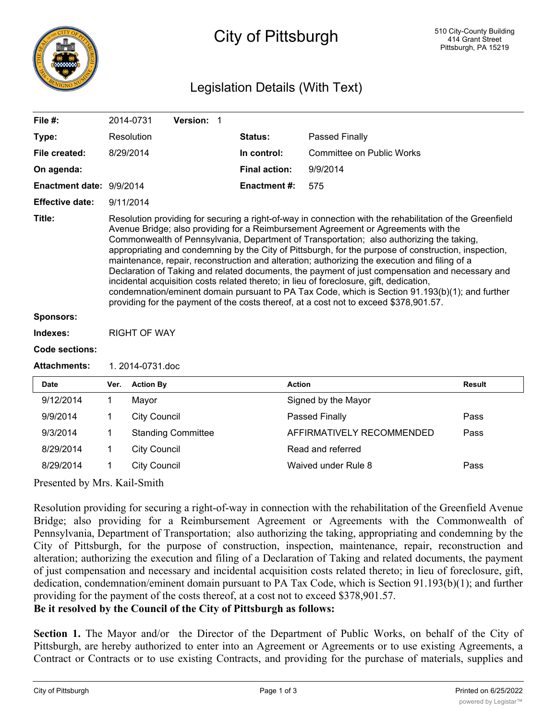

# City of Pittsburgh

# Legislation Details (With Text)

| File $#$ :               |                                                                                                                                                                                                                                                                                                                                                                                                                                                                                                                                                                                                                                                                                                                                                                                                                                                                                               | 2014-0731           | Version: 1 |                      |                                  |        |  |
|--------------------------|-----------------------------------------------------------------------------------------------------------------------------------------------------------------------------------------------------------------------------------------------------------------------------------------------------------------------------------------------------------------------------------------------------------------------------------------------------------------------------------------------------------------------------------------------------------------------------------------------------------------------------------------------------------------------------------------------------------------------------------------------------------------------------------------------------------------------------------------------------------------------------------------------|---------------------|------------|----------------------|----------------------------------|--------|--|
| Type:                    |                                                                                                                                                                                                                                                                                                                                                                                                                                                                                                                                                                                                                                                                                                                                                                                                                                                                                               | Resolution          |            | Status:              | Passed Finally                   |        |  |
| File created:            |                                                                                                                                                                                                                                                                                                                                                                                                                                                                                                                                                                                                                                                                                                                                                                                                                                                                                               | 8/29/2014           |            | In control:          | <b>Committee on Public Works</b> |        |  |
| On agenda:               |                                                                                                                                                                                                                                                                                                                                                                                                                                                                                                                                                                                                                                                                                                                                                                                                                                                                                               |                     |            | <b>Final action:</b> | 9/9/2014                         |        |  |
| Enactment date: 9/9/2014 |                                                                                                                                                                                                                                                                                                                                                                                                                                                                                                                                                                                                                                                                                                                                                                                                                                                                                               |                     |            | <b>Enactment #:</b>  | 575                              |        |  |
| <b>Effective date:</b>   |                                                                                                                                                                                                                                                                                                                                                                                                                                                                                                                                                                                                                                                                                                                                                                                                                                                                                               | 9/11/2014           |            |                      |                                  |        |  |
| Title:                   | Resolution providing for securing a right-of-way in connection with the rehabilitation of the Greenfield<br>Avenue Bridge; also providing for a Reimbursement Agreement or Agreements with the<br>Commonwealth of Pennsylvania, Department of Transportation; also authorizing the taking,<br>appropriating and condemning by the City of Pittsburgh, for the purpose of construction, inspection,<br>maintenance, repair, reconstruction and alteration; authorizing the execution and filing of a<br>Declaration of Taking and related documents, the payment of just compensation and necessary and<br>incidental acquisition costs related thereto; in lieu of foreclosure, gift, dedication,<br>condemnation/eminent domain pursuant to PA Tax Code, which is Section 91.193(b)(1); and further<br>providing for the payment of the costs thereof, at a cost not to exceed \$378,901.57. |                     |            |                      |                                  |        |  |
| <b>Sponsors:</b>         |                                                                                                                                                                                                                                                                                                                                                                                                                                                                                                                                                                                                                                                                                                                                                                                                                                                                                               |                     |            |                      |                                  |        |  |
| Indexes:                 |                                                                                                                                                                                                                                                                                                                                                                                                                                                                                                                                                                                                                                                                                                                                                                                                                                                                                               | <b>RIGHT OF WAY</b> |            |                      |                                  |        |  |
| Code sections:           |                                                                                                                                                                                                                                                                                                                                                                                                                                                                                                                                                                                                                                                                                                                                                                                                                                                                                               |                     |            |                      |                                  |        |  |
| <b>Attachments:</b>      |                                                                                                                                                                                                                                                                                                                                                                                                                                                                                                                                                                                                                                                                                                                                                                                                                                                                                               | 1.2014-0731.doc     |            |                      |                                  |        |  |
| Date                     | Ver.                                                                                                                                                                                                                                                                                                                                                                                                                                                                                                                                                                                                                                                                                                                                                                                                                                                                                          | <b>Action By</b>    |            | <b>Action</b>        |                                  | Result |  |
| 9/12/2014                | 1                                                                                                                                                                                                                                                                                                                                                                                                                                                                                                                                                                                                                                                                                                                                                                                                                                                                                             | Mayor               |            |                      | Signed by the Mayor              |        |  |

| 9/12/2014 | Mavor                     | Signed by the Mayor       |      |
|-----------|---------------------------|---------------------------|------|
| 9/9/2014  | City Council              | Passed Finally            | Pass |
| 9/3/2014  | <b>Standing Committee</b> | AFFIRMATIVELY RECOMMENDED | Pass |
| 8/29/2014 | City Council              | Read and referred         |      |
| 8/29/2014 | City Council              | Waived under Rule 8       | Pass |
|           |                           |                           |      |

Presented by Mrs. Kail-Smith

Resolution providing for securing a right-of-way in connection with the rehabilitation of the Greenfield Avenue Bridge; also providing for a Reimbursement Agreement or Agreements with the Commonwealth of Pennsylvania, Department of Transportation; also authorizing the taking, appropriating and condemning by the City of Pittsburgh, for the purpose of construction, inspection, maintenance, repair, reconstruction and alteration; authorizing the execution and filing of a Declaration of Taking and related documents, the payment of just compensation and necessary and incidental acquisition costs related thereto; in lieu of foreclosure, gift, dedication, condemnation/eminent domain pursuant to PA Tax Code, which is Section 91.193(b)(1); and further providing for the payment of the costs thereof, at a cost not to exceed \$378,901.57.

## **Be it resolved by the Council of the City of Pittsburgh as follows:**

**Section 1.** The Mayor and/or the Director of the Department of Public Works, on behalf of the City of Pittsburgh, are hereby authorized to enter into an Agreement or Agreements or to use existing Agreements, a Contract or Contracts or to use existing Contracts, and providing for the purchase of materials, supplies and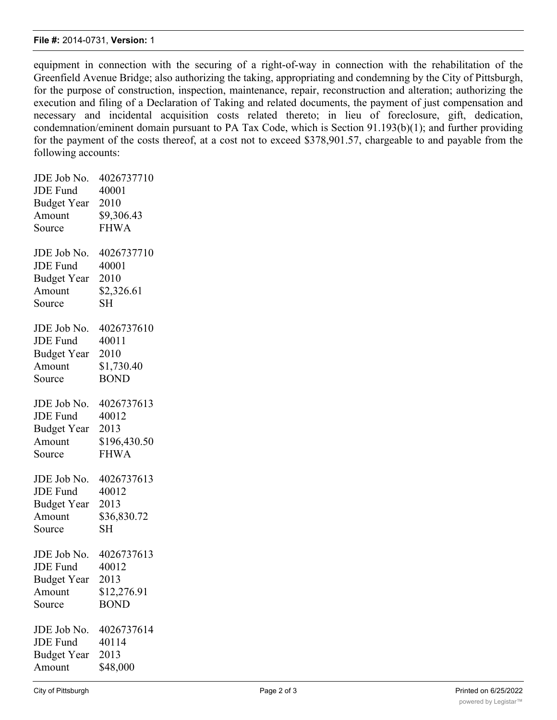### **File #:** 2014-0731, **Version:** 1

equipment in connection with the securing of a right-of-way in connection with the rehabilitation of the Greenfield Avenue Bridge; also authorizing the taking, appropriating and condemning by the City of Pittsburgh, for the purpose of construction, inspection, maintenance, repair, reconstruction and alteration; authorizing the execution and filing of a Declaration of Taking and related documents, the payment of just compensation and necessary and incidental acquisition costs related thereto; in lieu of foreclosure, gift, dedication, condemnation/eminent domain pursuant to PA Tax Code, which is Section 91.193(b)(1); and further providing for the payment of the costs thereof, at a cost not to exceed \$378,901.57, chargeable to and payable from the following accounts:

| JDE Job No.        | 4026737710   |
|--------------------|--------------|
| <b>JDE</b> Fund    | 40001        |
| <b>Budget Year</b> | 2010         |
| Amount             | \$9,306.43   |
| Source             | <b>FHWA</b>  |
| JDE Job No.        | 4026737710   |
| <b>JDE</b> Fund    | 40001        |
| <b>Budget Year</b> | 2010         |
| Amount             | \$2,326.61   |
| Source             | SH           |
| JDE Job No.        | 4026737610   |
| <b>JDE</b> Fund    | 40011        |
| <b>Budget Year</b> | 2010         |
| Amount             | \$1,730.40   |
| Source             | <b>BOND</b>  |
| JDE Job No.        | 4026737613   |
| <b>JDE</b> Fund    | 40012        |
| <b>Budget Year</b> | 2013         |
| Amount             | \$196,430.50 |
| Source             | <b>FHWA</b>  |
| JDE Job No.        | 4026737613   |
| <b>JDE</b> Fund    | 40012        |
| <b>Budget Year</b> | 2013         |
| Amount             | \$36,830.72  |
| Source             | <b>SH</b>    |
| JDE Job No.        | 4026737613   |
| <b>JDE</b> Fund    | 40012        |
| <b>Budget Year</b> | 2013         |
| Amount             | \$12,276.91  |
| Source             | <b>BOND</b>  |
| JDE Job No.        | 4026737614   |
| <b>JDE</b> Fund    | 40114        |
| <b>Budget Year</b> | 2013         |
| Amount             | \$48,000     |